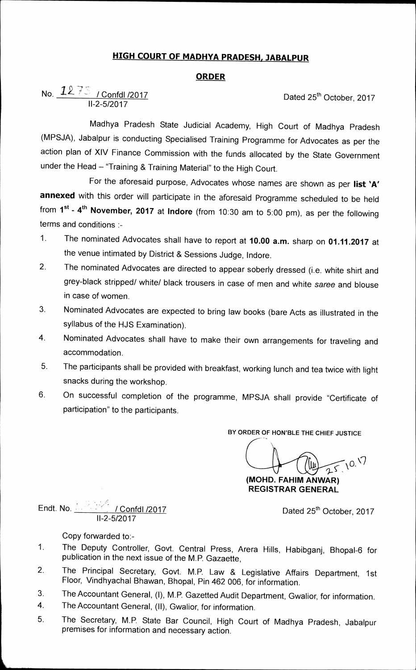## **HIGH COURT OF MADHYA PRADESH, JABALPUR**

## **ORDER**

## **No.**  $1275$  / Confdl /2017 **Dated 25<sup>th</sup> October, 2017 11-2-5/2017**

**Madhya Pradesh State Judicial Academy, High Court of Madhya Pradesh (MPSJA), Jabalpur is conducting Specialised Training Programme for Advocates as per the action plan of XIV Finance Commission with the funds allocated by the State Government under the Head — "Training & Training Material" to the High Court.** 

**For the aforesaid purpose, Advocates whose names are shown as per list 'A' annexed with this order will participate in the aforesaid Programme scheduled to be held**  from 1<sup>st</sup> - 4<sup>th</sup> November, 2017 at Indore (from 10:30 am to 5:00 pm), as per the following **terms and conditions :-** 

- **1. The nominated Advocates shall have to report at 10.00 a.m. sharp on 01.11.2017 at the venue intimated by District & Sessions Judge, Indore.**
- **2. The nominated Advocates are directed to appear soberly dressed (i.e. white shirt and grey-black stripped/ white/ black trousers in case of men and white** *saree* **and blouse in case of women.**
- **3. Nominated Advocates are expected to bring law books (bare Acts as illustrated in the syllabus of the HJS Examination).**
- **4. Nominated Advocates shall have to make their own arrangements for traveling and accommodation.**
- **5. The participants shall be provided with breakfast, working lunch and tea twice with light snacks during the workshop.**
- **6. On successful completion of the programme, MPSJA shall provide "Certificate of participation" to the participants.**

**BY ORDER OF HON'BLE THE CHIEF JUSTICE** 

 $25.10.17$ 

**(MOHD. FAHIM ANWAR) REGISTRAR GENERAL** 

**Endt. No. 2017** Confol /2017 **Dated 25th October, 2017 11-2-5/2017** 

**Copy forwarded to:-** 

- **1. The Deputy Controller, Govt. Central Press, Arera Hills, Habibganj, Bhopal-6 for publication in the next issue of the M.P. Gazaette,**
- **2. The Principal Secretary, Govt. M.P. Law & Legislative Affairs Department, 1st Floor, Vindhyachal Bhawan, Bhopal, Pin 462 006, for information.**
- **3. The Accountant General, (I), M.P. Gazetted Audit Department, Gwalior, for information.**
- **4. The Accountant General, (II), Gwalior, for information.**
- 5. The Secretary, M.P. State Bar Council, High Court of Madhya Pradesh, Jabalpur **premises for information and necessary action.**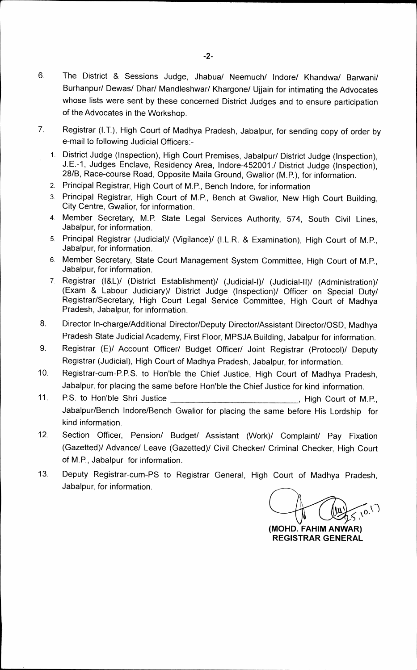- **6. The District & Sessions Judge, Jhabua/ Neemuch/ Indore/ Khandwa/ Barwani/ Burhanpur/ Dewas/ Dhar/ Mandleshwar/ Khargone/ Ujjain for intimating the Advocates whose lists were sent by these concerned District Judges and to ensure participation of the Advocates in the Workshop.**
- 7. Registrar (I.T.), High Court of Madhya Pradesh, Jabalpur, for sending copy of order by **e-mail to following Judicial Officers:-** 
	- **1. District Judge (Inspection), High Court Premises, Jabalpur/ District Judge (Inspection), J.E.-1, Judges Enclave, Residency Area, Indore-452001./ District Judge (Inspection), 28/B, Race-course Road, Opposite Maila Ground, Gwalior (M.P.), for information.**
	- **2. Principal Registrar, High Court of M.P., Bench Indore, for information**
	- **3. Principal Registrar, High Court of M.P., Bench at Gwalior, New High Court Building, City Centre, Gwalior, for information.**
	- **4. Member Secretary, M.P. State Legal Services Authority, 574, South Civil Lines, Jabalpur, for information.**
	- **5. Principal Registrar (Judicial)/ (Vigilance)/ (I.L.R. & Examination), High Court of M.P., Jabalpur, for information.**
	- **6. Member Secretary, State Court Management System Committee, High Court of M.P., Jabalpur, for information.**
	- **7. Registrar (181)/ (District Establishment)/ (Judicial-I)/ (Judicial-11)! (Administration)/ (Exam & Labour Judiciary)/ District Judge (Inspection)/ Officer on Special Duty/ Registrar/Secretary, High Court Legal Service Committee, High Court of Madhya Pradesh, Jabalpur, for information.**
- **8. Director In-charge/Additional Director/Deputy Director/Assistant Director/OSD, Madhya Pradesh State Judicial Academy, First Floor, MPSJA Building, Jabalpur for information.**
- **9. Registrar (E)/ Account Officer/ Budget Officer/ Joint Registrar (Protocol)/ Deputy Registrar (Judicial), High Court of Madhya Pradesh, Jabalpur, for information.**
- **10. Registrar-cum-P.P.S. to Hon'ble the Chief Justice, High Court of Madhya Pradesh, Jabalpur, for placing the same before Hon'ble the Chief Justice for kind information.**
- 11. P.S. to Hon'ble Shri Justice **Communist Court of M.P.**, High Court of M.P., **Jabalpur/Bench lndore/Bench Gwalior for placing the same before His Lordship for kind information.**
- **12. Section Officer, Pension/ Budget/ Assistant (Work)/ Complaint/ Pay Fixation (Gazetted)/ Advance/ Leave (Gazetted)/ Civil Checker/ Criminal Checker, High Court of M.P., Jabalpur for information.**
- **13. Deputy Registrar-cum-PS to Registrar General, High Court of Madhya Pradesh, Jabalpur, for information.**

**(MOHO. FAHIM AN WAR) REGISTRAR GENERAL**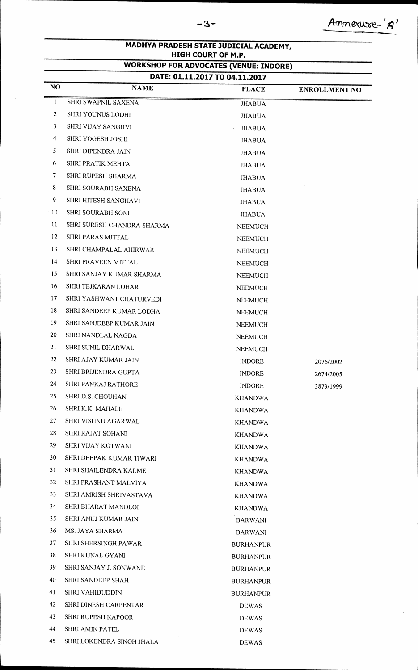## **MADHYA PRADESH STATE JUDICIAL ACADEMY, HIGH COURT OF M.P.**

**WORKSHOP FOR ADVOCATES (VENUE: INDORE)** 

|    | DATE: 01.11.2017 TO 04.11.2017 |                  |                      |  |
|----|--------------------------------|------------------|----------------------|--|
| NO | <b>NAME</b>                    | <b>PLACE</b>     | <b>ENROLLMENT NO</b> |  |
| 1  | SHRI SWAPNIL SAXENA            | <b>JHABUA</b>    |                      |  |
| 2  | SHRI YOUNUS LODHI              | <b>JHABUA</b>    |                      |  |
| 3  | SHRI VIJAY SANGHVI             | <b>JHABUA</b>    |                      |  |
| 4  | SHRI YOGESH JOSHI              | <b>JHABUA</b>    |                      |  |
| 5  | SHRI DIPENDRA JAIN             | <b>JHABUA</b>    |                      |  |
| 6  | SHRI PRATIK MEHTA              | <b>JHABUA</b>    |                      |  |
| 7  | SHRI RUPESH SHARMA             | <b>JHABUA</b>    |                      |  |
| 8  | SHRI SOURABH SAXENA            | <b>JHABUA</b>    |                      |  |
| 9  | SHRI HITESH SANGHAVI           | <b>JHABUA</b>    |                      |  |
| 10 | SHRI SOURABH SONI              | <b>JHABUA</b>    |                      |  |
| 11 | SHRI SURESH CHANDRA SHARMA     | <b>NEEMUCH</b>   |                      |  |
| 12 | <b>SHRI PARAS MITTAL</b>       | <b>NEEMUCH</b>   |                      |  |
| 13 | SHRI CHAMPALAL AHIRWAR         | <b>NEEMUCH</b>   |                      |  |
| 14 | SHRI PRAVEEN MITTAL            | <b>NEEMUCH</b>   |                      |  |
| 15 | SHRI SANJAY KUMAR SHARMA       | <b>NEEMUCH</b>   |                      |  |
| 16 | SHRI TEJKARAN LOHAR            | <b>NEEMUCH</b>   |                      |  |
| 17 | SHRI YASHWANT CHATURVEDI       | <b>NEEMUCH</b>   |                      |  |
| 18 | SHRI SANDEEP KUMAR LODHA       | <b>NEEMUCH</b>   |                      |  |
| 19 | SHRI SANJDEEP KUMAR JAIN       | <b>NEEMUCH</b>   |                      |  |
| 20 | SHRI NANDLAL NAGDA             | <b>NEEMUCH</b>   |                      |  |
| 21 | SHRI SUNIL DHARWAL             | <b>NEEMUCH</b>   |                      |  |
| 22 | SHRI AJAY KUMAR JAIN           | <b>INDORE</b>    | 2076/2002            |  |
| 23 | SHRI BRIJENDRA GUPTA           | <b>INDORE</b>    | 2674/2005            |  |
| 24 | SHRI PANKAJ RATHORE            | <b>INDORE</b>    | 3873/1999            |  |
| 25 | SHRI D.S. CHOUHAN              | <b>KHANDWA</b>   |                      |  |
| 26 | SHRI K.K. MAHALE               | <b>KHANDWA</b>   |                      |  |
| 27 | SHRI VISHNU AGARWAL            | <b>KHANDWA</b>   |                      |  |
| 28 | SHRI RAJAT SOHANI              | <b>KHANDWA</b>   |                      |  |
| 29 | SHRI VIJAY KOTWANI             | <b>KHANDWA</b>   |                      |  |
| 30 | SHRI DEEPAK KUMAR TIWARI       | <b>KHANDWA</b>   |                      |  |
| 31 | SHRI SHAILENDRA KALME          | <b>KHANDWA</b>   |                      |  |
| 32 | SHRI PRASHANT MALVIYA          | <b>KHANDWA</b>   |                      |  |
| 33 | SHRI AMRISH SHRIVASTAVA        | <b>KHANDWA</b>   |                      |  |
| 34 | SHRI BHARAT MANDLOI            | <b>KHANDWA</b>   |                      |  |
| 35 | SHRI ANUJ KUMAR JAIN           | <b>BARWANI</b>   |                      |  |
| 36 | MS. JAYA SHARMA                | <b>BARWANI</b>   |                      |  |
| 37 | SHRI SHERSINGH PAWAR           | <b>BURHANPUR</b> |                      |  |
| 38 | SHRI KUNAL GYANI               | <b>BURHANPUR</b> |                      |  |
| 39 | SHRI SANJAY J. SONWANE         | <b>BURHANPUR</b> |                      |  |
| 40 | SHRI SANDEEP SHAH              | <b>BURHANPUR</b> |                      |  |
| 41 | <b>SHRI VAHIDUDDIN</b>         | <b>BURHANPUR</b> |                      |  |
| 42 | SHRI DINESH CARPENTAR          | <b>DEWAS</b>     |                      |  |
| 43 | SHRI RUPESH KAPOOR             | <b>DEWAS</b>     |                      |  |
| 44 | SHRI AMIN PATEL                | <b>DEWAS</b>     |                      |  |
| 45 | SHRI LOKENDRA SINGH JHALA      | <b>DEWAS</b>     |                      |  |